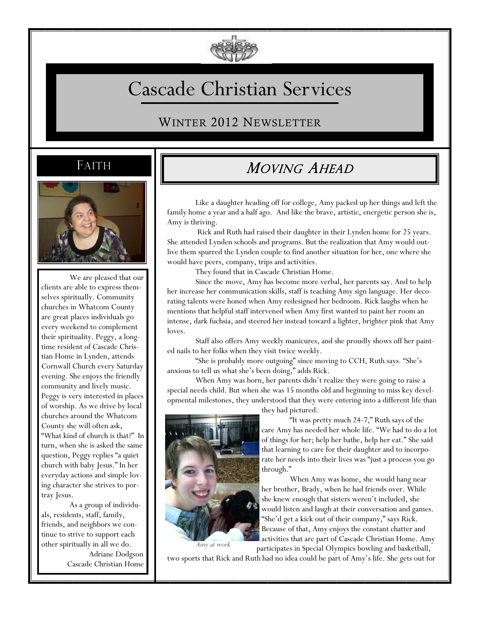

# Cascade Christian Services

WINTER 2012 NEWSLETTER

## FAITH



We are pleased that our clients are able to express themselves spiritually. Community churches in Whatcom County are great places individuals go every weekend to complement their spirituality. Peggy, a longtime resident of Cascade Christian Home in Lynden, attends Cornwall Church every Saturday evening. She enjoys the friendly community and lively music. Peggy is very interested in places of worship. As we drive by local churches around the Whatcom County she will often ask, "What kind of church is that?" In turn, when she is asked the same question, Peggy replies "a quiet church with baby Jesus." In her everyday actions and simple loving character she strives to portray Jesus.

As a group of individuals, residents, staff, family, friends, and neighbors we continue to strive to support each other spiritually in all we do.

> Adriane Dodgson Cascade Christian Home

# MOVING AHEAD

Like a daughter heading off for college, Amy packed up her things and left the family home a year and a half ago. And like the brave, artistic, energetic person she is, Amy is thriving.

Rick and Ruth had raised their daughter in their Lynden home for 25 years. She attended Lynden schools and programs. But the realization that Amy would outlive them spurred the Lynden couple to find another situation for her, one where she would have peers, company, trips and activities.

They found that in Cascade Christian Home.

Since the move, Amy has become more verbal, her parents say. And to help her increase her communication skills, staff is teaching Amy sign language. Her decorating talents were honed when Amy redesigned her bedroom. Rick laughs when he mentions that helpful staff intervened when Amy first wanted to paint her room an intense, dark fuchsia, and steered her instead toward a lighter, brighter pink that Amy loves.

Staff also offers Amy weekly manicures, and she proudly shows off her painted nails to her folks when they visit twice weekly.

"She is probably more outgoing" since moving to CCH, Ruth says. "She's anxious to tell us what she's been doing," adds Rick.

When Amy was born, her parents didn't realize they were going to raise a special needs child. But when she was 15 months old and beginning to miss key developmental milestones, they understood that they were entering into a different life than



Amy at work

they had pictured.

"It was pretty much 24-7," Ruth says of the care Amy has needed her whole life. "We had to do a lot of things for her; help her bathe, help her eat." She said that learning to care for their daughter and to incorporate her needs into their lives was "just a process you go through."

When Amy was home, she would hang near her brother, Brady, when he had friends over. While she knew enough that sisters weren't included, she would listen and laugh at their conversation and games. "She'd get a kick out of their company," says Rick. Because of that, Amy enjoys the constant chatter and activities that are part of Cascade Christian Home. Amy participates in Special Olympics bowling and basketball,

two sports that Rick and Ruth had no idea could be part of Amy's life. She gets out for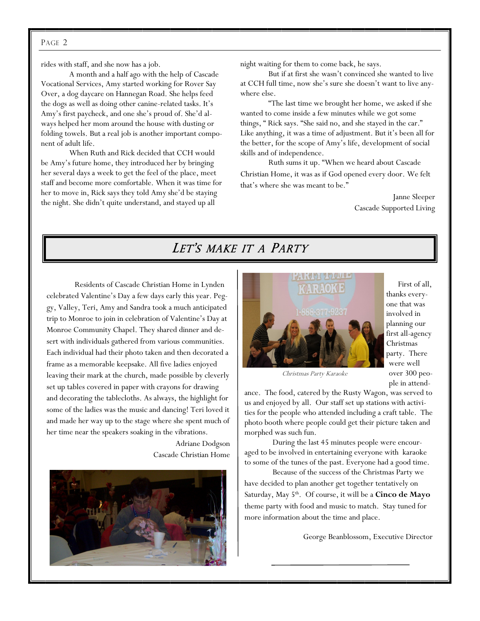#### PAGE 2

rides with staff, and she now has a job.

A month and a half ago with the help of Cascade Vocational Services, Amy started working for Rover Say Over, a dog daycare on Hannegan Road. She helps feed the dogs as well as doing other canine-related tasks. It's Amy's first paycheck, and one she's proud of. She'd always helped her mom around the house with dusting or folding towels. But a real job is another important component of adult life.

When Ruth and Rick decided that CCH would be Amy's future home, they introduced her by bringing her several days a week to get the feel of the place, meet staff and become more comfortable. When it was time for her to move in, Rick says they told Amy she'd be staying the night. She didn't quite understand, and stayed up all

night waiting for them to come back, he says.

But if at first she wasn't convinced she wanted to live at CCH full time, now she's sure she doesn't want to live anywhere else.

"The last time we brought her home, we asked if she wanted to come inside a few minutes while we got some things, " Rick says. "She said no, and she stayed in the car." Like anything, it was a time of adjustment. But it's been all for the better, for the scope of Amy's life, development of social skills and of independence.

Ruth sums it up. "When we heard about Cascade Christian Home, it was as if God opened every door. We felt that's where she was meant to be."

> Janne Sleeper Cascade Supported Living

#### LET'S MAKE IT A PARTY

Residents of Cascade Christian Home in Lynden celebrated Valentine's Day a few days early this year. Peggy, Valley, Teri, Amy and Sandra took a much anticipated trip to Monroe to join in celebration of Valentine's Day at Monroe Community Chapel. They shared dinner and desert with individuals gathered from various communities. Each individual had their photo taken and then decorated a frame as a memorable keepsake. All five ladies enjoyed leaving their mark at the church, made possible by cleverly set up tables covered in paper with crayons for drawing and decorating the tablecloths. As always, the highlight for some of the ladies was the music and dancing! Teri loved it and made her way up to the stage where she spent much of her time near the speakers soaking in the vibrations.

> Adriane Dodgson Cascade Christian Home





 First of all, thanks everyone that was involved in planning our first all-agency Christmas party. There were well over 300 people in attend-

Christmas Party Karaoke

ance. The food, catered by the Rusty Wagon, was served to us and enjoyed by all. Our staff set up stations with activities for the people who attended including a craft table. The photo booth where people could get their picture taken and morphed was such fun.

During the last 45 minutes people were encouraged to be involved in entertaining everyone with karaoke to some of the tunes of the past. Everyone had a good time.

Because of the success of the Christmas Party we have decided to plan another get together tentatively on Saturday, May 5<sup>th</sup>. Of course, it will be a **Cinco de Mayo** theme party with food and music to match. Stay tuned for more information about the time and place.

George Beanblossom, Executive Director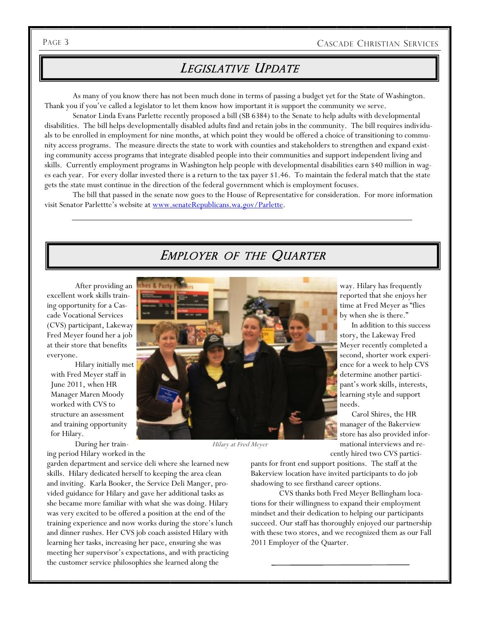## LEGISLATIVE UPDATE

As many of you know there has not been much done in terms of passing a budget yet for the State of Washington. Thank you if you've called a legislator to let them know how important it is support the community we serve.

Senator Linda Evans Parlette recently proposed a bill (SB 6384) to the Senate to help adults with developmental disabilities. The bill helps developmentally disabled adults find and retain jobs in the community. The bill requires individuals to be enrolled in employment for nine months, at which point they would be offered a choice of transitioning to community access programs. The measure directs the state to work with counties and stakeholders to strengthen and expand existing community access programs that integrate disabled people into their communities and support independent living and skills. Currently employment programs in Washington help people with developmental disabilities earn \$40 million in wages each year. For every dollar invested there is a return to the tax payer \$1.46. To maintain the federal match that the state gets the state must continue in the direction of the federal government which is employment focuses.

The bill that passed in the senate now goes to the House of Representative for consideration. For more information visit Senator Parlettte's website at [www.senateRepublicans.wa.gov/Parlette.](http://www.senateRepublicans.wa.gov/Parlette)

### EMPLOYER OF THE QUARTER

After providing an excellent work skills training opportunity for a Cascade Vocational Services (CVS) participant, Lakeway Fred Meyer found her a job at their store that benefits everyone.

Hilary initially met with Fred Meyer staff in June 2011, when HR Manager Maren Moody worked with CVS to structure an assessment and training opportunity for Hilary.

During her training period Hilary worked in the

garden department and service deli where she learned new skills. Hilary dedicated herself to keeping the area clean and inviting. Karla Booker, the Service Deli Manger, provided guidance for Hilary and gave her additional tasks as she became more familiar with what she was doing. Hilary was very excited to be offered a position at the end of the training experience and now works during the store's lunch and dinner rushes. Her CVS job coach assisted Hilary with learning her tasks, increasing her pace, ensuring she was meeting her supervisor's expectations, and with practicing the customer service philosophies she learned along the

way. Hilary has frequently reported that she enjoys her

time at Fred Meyer as "flies by when she is there."

 In addition to this success story, the Lakeway Fred Meyer recently completed a second, shorter work experience for a week to help CVS determine another participant's work skills, interests, learning style and support needs.

 Carol Shires, the HR manager of the Bakerview store has also provided informational interviews and recently hired two CVS partici-

pants for front end support positions. The staff at the Bakerview location have invited participants to do job shadowing to see firsthand career options.

CVS thanks both Fred Meyer Bellingham locations for their willingness to expand their employment mindset and their dedication to helping our participants succeed. Our staff has thoroughly enjoyed our partnership with these two stores, and we recognized them as our Fall 2011 Employer of the Quarter.

Hilary at Fred Meyer